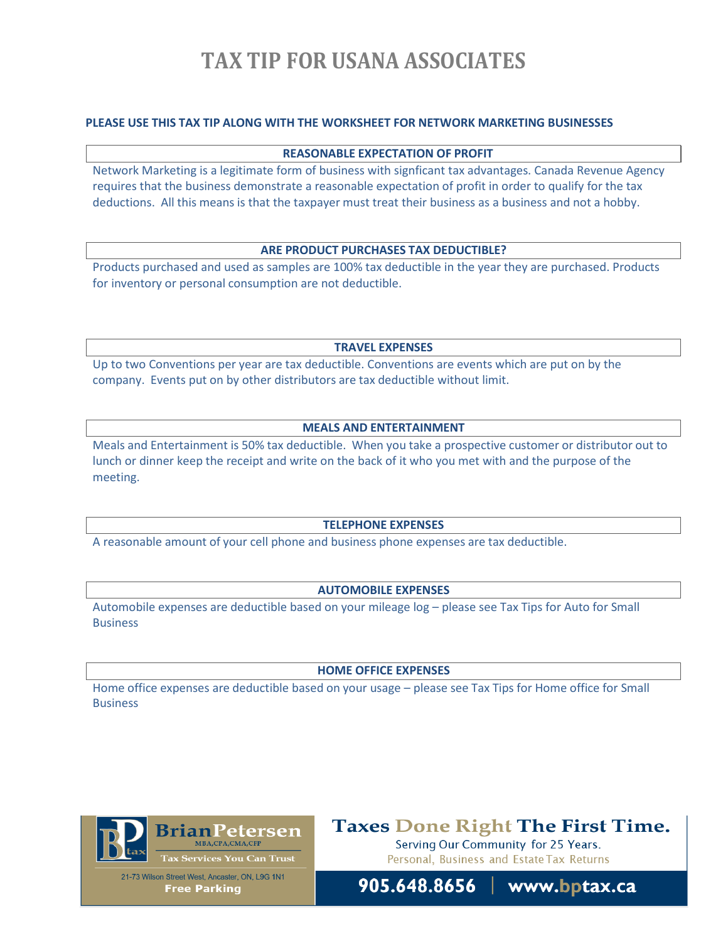# **TAX TIP FOR USANA ASSOCIATES**

#### **PLEASE USE THIS TAX TIP ALONG WITH THE WORKSHEET FOR NETWORK MARKETING BUSINESSES**

#### **REASONABLE EXPECTATION OF PROFIT**

Network Marketing is a legitimate form of business with signficant tax advantages. Canada Revenue Agency requires that the business demonstrate a reasonable expectation of profit in order to qualify for the tax deductions. All this means is that the taxpayer must treat their business as a business and not a hobby.

#### **ARE PRODUCT PURCHASES TAX DEDUCTIBLE?**

Products purchased and used as samples are 100% tax deductible in the year they are purchased. Products for inventory or personal consumption are not deductible.

**TRAVEL EXPENSES**

Up to two Conventions per year are tax deductible. Conventions are events which are put on by the company. Events put on by other distributors are tax deductible without limit.

#### **MEALS AND ENTERTAINMENT**

Meals and Entertainment is 50% tax deductible. When you take a prospective customer or distributor out to lunch or dinner keep the receipt and write on the back of it who you met with and the purpose of the meeting.

#### **TELEPHONE EXPENSES**

A reasonable amount of your cell phone and business phone expenses are tax deductible.

#### **AUTOMOBILE EXPENSES**

Automobile expenses are deductible based on your mileage log – please see Tax Tips for Auto for Small **Business** 

#### **HOME OFFICE EXPENSES**

Home office expenses are deductible based on your usage – please see Tax Tips for Home office for Small Business



**Taxes Done Right The First Time.** Serving Our Community for 25 Years.

Personal, Business and Estate Tax Returns

21-73 Wilson Street West, Ancaster, ON, L9G 1N1 **Free Parking**